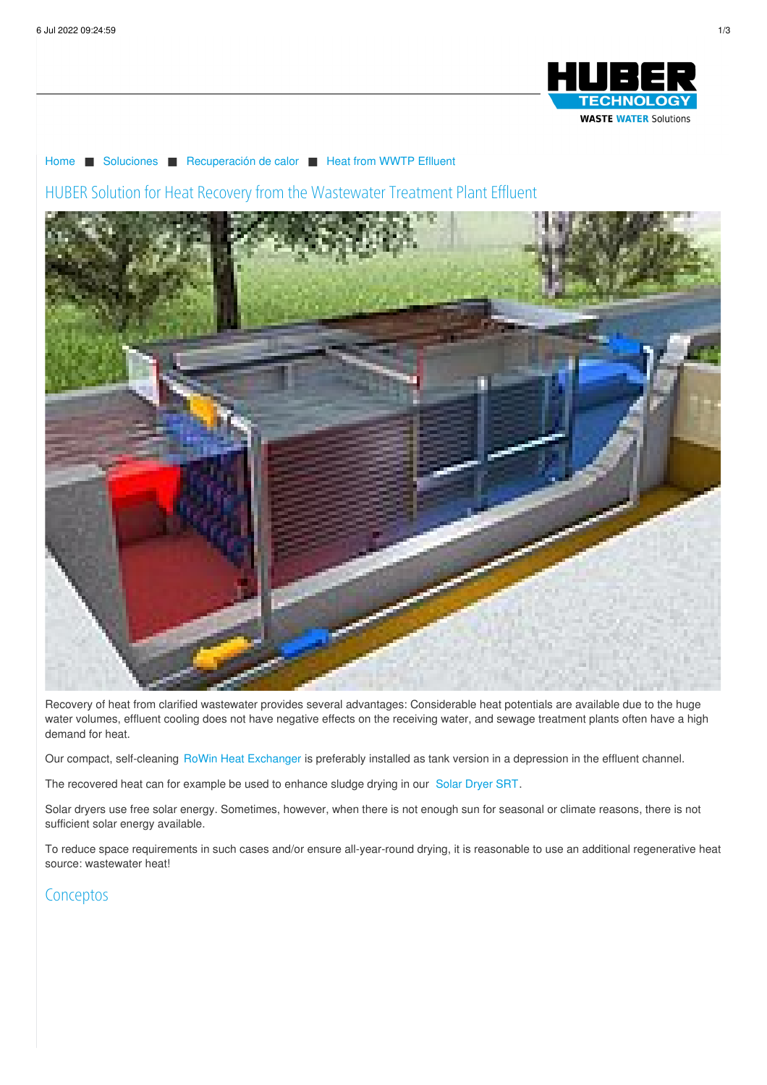

[Home](/es.html) ■ [Soluciones](/es/soluciones.html) ■ [Recuperación](/es/soluciones/recuperacion-de-calor.html) de calor ■ Heat from WWTP [Eflluent](/es/soluciones/recuperacion-de-calor/heat-from-wwtp-eflluent.html)

HUBER Solution for Heat Recovery from the Wastewater Treatment Plant Effluent



Recovery of heat from clarified wastewater provides several advantages: Considerable heat potentials are available due to the huge water volumes, effluent cooling does not have negative effects on the receiving water, and sewage treatment plants often have a high demand for heat.

Our compact, self-cleaning RoWin Heat [Exchanger](https://www.huber.de/es/productos/energia-del-agua-residual/huber-intercambiador-de-calor-rowin.html) is preferably installed as tank version in a depression in the effluent channel.

The recovered heat can for example be used to enhance sludge drying in our Solar [Dryer](https://www.huber.de/es/productos/tratamiento-de-fangos/secado/huber-secado-solar-srt.html) SRT.

Solar dryers use free solar energy. Sometimes, however, when there is not enough sun for seasonal or climate reasons, there is not sufficient solar energy available.

To reduce space requirements in such cases and/or ensure all-year-round drying, it is reasonable to use an additional regenerative heat source: wastewater heat!

## **Conceptos**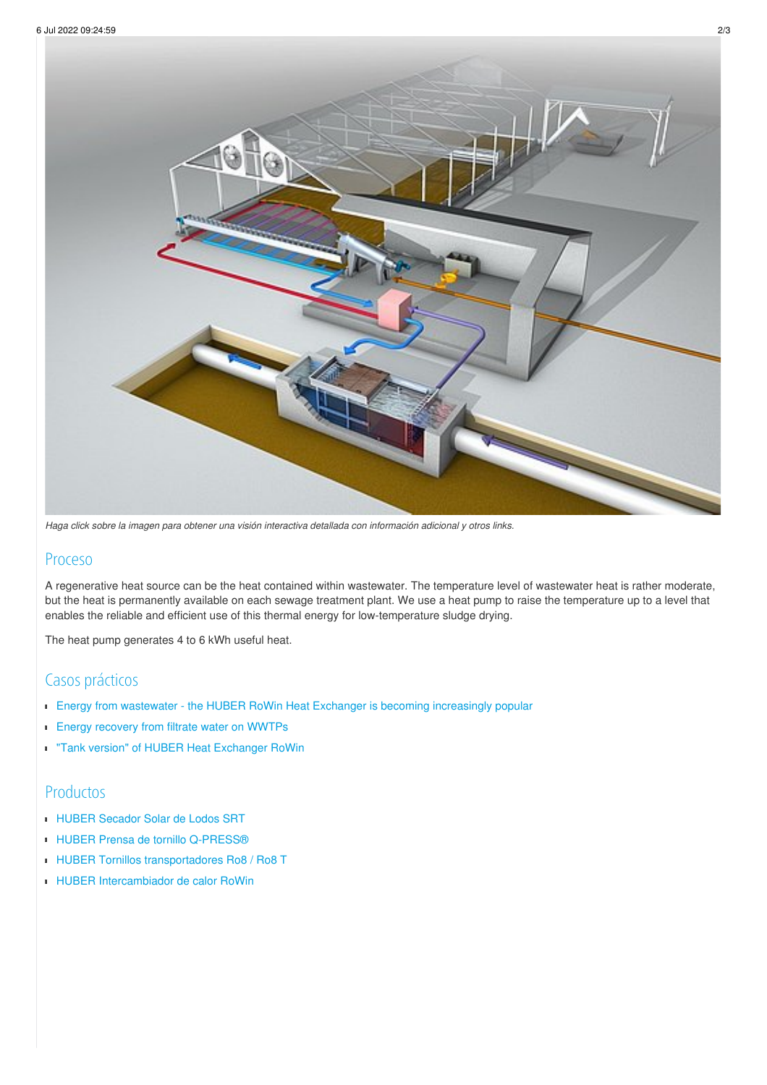

Haga click sobre la imagen para obtener una visión interactiva detallada con información adicional y otros links.

## Proceso

A regenerative heat source can be the heat contained within wastewater. The temperature level of wastewater heat is rather moderate, but the heat is permanently available on each sewage treatment plant. We use a heat pump to raise the temperature up to a level that enables the reliable and efficient use of this thermal energy for low-temperature sludge drying.

The heat pump generates 4 to 6 kWh useful heat.

## Casos prácticos

- Energy from wastewater the HUBER RoWin Heat Exchanger is becoming [increasingly](/es/huber-report/ablage-berichte/energy-from-wastewater/energy-from-wastewater-the-huber-rowin-heat-exchanger-is-becoming-increasingly-popular.html) popular
- **Energy [recovery](/es/huber-report/ablage-berichte/energy-from-wastewater/energy-recovery-from-filtrate-water-on-wwtps.html) from filtrate water on WWTPs**
- **Tank version" of HUBER Heat [Exchanger](/es/huber-report/ablage-berichte/energy-from-wastewater/tank-version-of-huber-heat-exchanger-rowin.html) RoWin**

## Productos

- HUBER [Secador](/es/productos/tratamiento-de-fangos/secado/huber-secado-solar-srt.html) Solar de Lodos SRT
- HUBER Prensa de tornillo [Q-PRESS®](/es/productos/tratamiento-de-fangos/deshidratacion/huber-prensa-de-tornillo-q-pressr.html)
- **HUBER Tornillos [transportadores](/es/productos/tornillo-transportador/huber-tornillos-transportadores.html) Ro8 / Ro8 T**
- HUBER [Intercambiador](/es/productos/energia-del-agua-residual/huber-intercambiador-de-calor-rowin.html) de calor RoWin